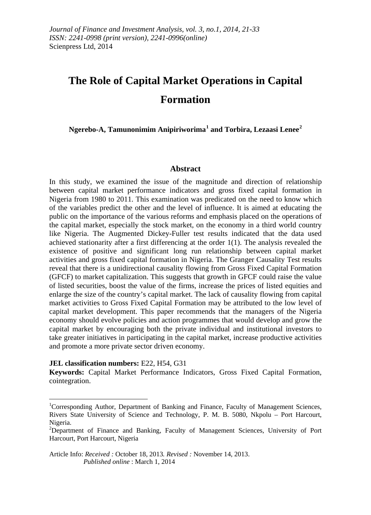# **The Role of Capital Market Operations in Capital Formation**

**Ngerebo-A, Tamunonimim Anipiriworima[1](#page-0-0) and Torbira, Lezaasi Lenee[2](#page-0-1)**

# **Abstract**

In this study, we examined the issue of the magnitude and direction of relationship between capital market performance indicators and gross fixed capital formation in Nigeria from 1980 to 2011. This examination was predicated on the need to know which of the variables predict the other and the level of influence. It is aimed at educating the public on the importance of the various reforms and emphasis placed on the operations of the capital market, especially the stock market, on the economy in a third world country like Nigeria. The Augmented Dickey-Fuller test results indicated that the data used achieved stationarity after a first differencing at the order 1(1). The analysis revealed the existence of positive and significant long run relationship between capital market activities and gross fixed capital formation in Nigeria. The Granger Causality Test results reveal that there is a unidirectional causality flowing from Gross Fixed Capital Formation (GFCF) to market capitalization. This suggests that growth in GFCF could raise the value of listed securities, boost the value of the firms, increase the prices of listed equities and enlarge the size of the country's capital market. The lack of causality flowing from capital market activities to Gross Fixed Capital Formation may be attributed to the low level of capital market development. This paper recommends that the managers of the Nigeria economy should evolve policies and action programmes that would develop and grow the capital market by encouraging both the private individual and institutional investors to take greater initiatives in participating in the capital market, increase productive activities and promote a more private sector driven economy.

**JEL classification numbers:** E22, H54, G31

**.** 

**Keywords:** Capital Market Performance Indicators, Gross Fixed Capital Formation, cointegration.

Article Info: *Received :* October 18, 2013*. Revised :* November 14, 2013.  *Published online* : March 1, 2014

<span id="page-0-0"></span><sup>&</sup>lt;sup>1</sup>Corresponding Author, Department of Banking and Finance, Faculty of Management Sciences, Rivers State University of Science and Technology, P. M. B. 5080, Nkpolu – Port Harcourt, Nigeria.

<span id="page-0-1"></span><sup>&</sup>lt;sup>2</sup>Department of Finance and Banking, Faculty of Management Sciences, University of Port Harcourt, Port Harcourt, Nigeria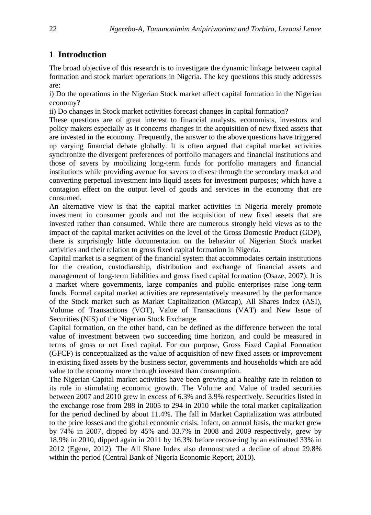# **1 Introduction**

The broad objective of this research is to investigate the dynamic linkage between capital formation and stock market operations in Nigeria. The key questions this study addresses are:

i) Do the operations in the Nigerian Stock market affect capital formation in the Nigerian economy?

ii) Do changes in Stock market activities forecast changes in capital formation?

These questions are of great interest to financial analysts, economists, investors and policy makers especially as it concerns changes in the acquisition of new fixed assets that are invested in the economy. Frequently, the answer to the above questions have triggered up varying financial debate globally. It is often argued that capital market activities synchronize the divergent preferences of portfolio managers and financial institutions and those of savers by mobilizing long-term funds for portfolio managers and financial institutions while providing avenue for savers to divest through the secondary market and converting perpetual investment into liquid assets for investment purposes; which have a contagion effect on the output level of goods and services in the economy that are consumed.

An alternative view is that the capital market activities in Nigeria merely promote investment in consumer goods and not the acquisition of new fixed assets that are invested rather than consumed. While there are numerous strongly held views as to the impact of the capital market activities on the level of the Gross Domestic Product (GDP), there is surprisingly little documentation on the behavior of Nigerian Stock market activities and their relation to gross fixed capital formation in Nigeria.

Capital market is a segment of the financial system that accommodates certain institutions for the creation, custodianship, distribution and exchange of financial assets and management of long-term liabilities and gross fixed capital formation (Osaze, 2007). It is a market where governments, large companies and public enterprises raise long-term funds. Formal capital market activities are representatively measured by the performance of the Stock market such as Market Capitalization (Mktcap), All Shares Index (ASI), Volume of Transactions (VOT), Value of Transactions (VAT) and New Issue of Securities (NIS) of the Nigerian Stock Exchange.

Capital formation, on the other hand, can be defined as the difference between the total value of investment between two succeeding time horizon, and could be measured in terms of gross or net fixed capital. For our purpose, Gross Fixed Capital Formation (GFCF) is conceptualized as the value of acquisition of new fixed assets or improvement in existing fixed assets by the business sector, governments and households which are add value to the economy more through invested than consumption.

The Nigerian Capital market activities have been growing at a healthy rate in relation to its role in stimulating economic growth. The Volume and Value of traded securities between 2007 and 2010 grew in excess of 6.3% and 3.9% respectively. Securities listed in the exchange rose from 288 in 2005 to 294 in 2010 while the total market capitalization for the period declined by about 11.4%. The fall in Market Capitalization was attributed to the price losses and the global economic crisis. Infact, on annual basis, the market grew by 74% in 2007, dipped by 45% and 33.7% in 2008 and 2009 respectively, grew by 18.9% in 2010, dipped again in 2011 by 16.3% before recovering by an estimated 33% in 2012 (Egene, 2012). The All Share Index also demonstrated a decline of about 29.8% within the period (Central Bank of Nigeria Economic Report, 2010).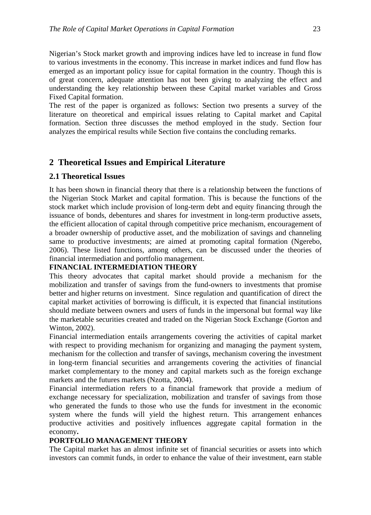Nigerian's Stock market growth and improving indices have led to increase in fund flow to various investments in the economy. This increase in market indices and fund flow has emerged as an important policy issue for capital formation in the country. Though this is of great concern, adequate attention has not been giving to analyzing the effect and understanding the key relationship between these Capital market variables and Gross Fixed Capital formation.

The rest of the paper is organized as follows: Section two presents a survey of the literature on theoretical and empirical issues relating to Capital market and Capital formation. Section three discusses the method employed in the study. Section four analyzes the empirical results while Section five contains the concluding remarks.

# **2 Theoretical Issues and Empirical Literature**

#### **2.1 Theoretical Issues**

It has been shown in financial theory that there is a relationship between the functions of the Nigerian Stock Market and capital formation. This is because the functions of the stock market which include provision of long-term debt and equity financing through the issuance of bonds, debentures and shares for investment in long-term productive assets, the efficient allocation of capital through competitive price mechanism, encouragement of a broader ownership of productive asset, and the mobilization of savings and channeling same to productive investments; are aimed at promoting capital formation (Ngerebo, 2006). These listed functions, among others, can be discussed under the theories of financial intermediation and portfolio management.

#### **FINANCIAL INTERMEDIATION THEORY**

This theory advocates that capital market should provide a mechanism for the mobilization and transfer of savings from the fund-owners to investments that promise better and higher returns on investment. Since regulation and quantification of direct the capital market activities of borrowing is difficult, it is expected that financial institutions should mediate between owners and users of funds in the impersonal but formal way like the marketable securities created and traded on the Nigerian Stock Exchange (Gorton and Winton, 2002).

Financial intermediation entails arrangements covering the activities of capital market with respect to providing mechanism for organizing and managing the payment system, mechanism for the collection and transfer of savings, mechanism covering the investment in long-term financial securities and arrangements covering the activities of financial market complementary to the money and capital markets such as the foreign exchange markets and the futures markets (Nzotta, 2004).

Financial intermediation refers to a financial framework that provide a medium of exchange necessary for specialization, mobilization and transfer of savings from those who generated the funds to those who use the funds for investment in the economic system where the funds will yield the highest return. This arrangement enhances productive activities and positively influences aggregate capital formation in the economy**.**

#### **PORTFOLIO MANAGEMENT THEORY**

The Capital market has an almost infinite set of financial securities or assets into which investors can commit funds, in order to enhance the value of their investment, earn stable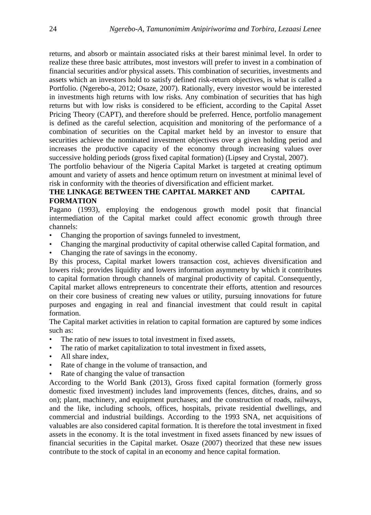returns, and absorb or maintain associated risks at their barest minimal level. In order to realize these three basic attributes, most investors will prefer to invest in a combination of financial securities and/or physical assets. This combination of securities, investments and assets which an investors hold to satisfy defined risk-return objectives, is what is called a Portfolio. (Ngerebo-a, 2012; Osaze, 2007). Rationally, every investor would be interested in investments high returns with low risks. Any combination of securities that has high returns but with low risks is considered to be efficient, according to the Capital Asset Pricing Theory (CAPT), and therefore should be preferred. Hence, portfolio management is defined as the careful selection, acquisition and monitoring of the performance of a combination of securities on the Capital market held by an investor to ensure that securities achieve the nominated investment objectives over a given holding period and increases the productive capacity of the economy through increasing values over successive holding periods (gross fixed capital formation) (Lipsey and Crystal, 2007).

The portfolio behaviour of the Nigeria Capital Market is targeted at creating optimum amount and variety of assets and hence optimum return on investment at minimal level of risk in conformity with the theories of diversification and efficient market.

### **THE LINKAGE BETWEEN THE CAPITAL MARKET AND CAPITAL FORMATION**

Pagano (1993), employing the endogenous growth model posit that financial intermediation of the Capital market could affect economic growth through three channels:

- Changing the proportion of savings funneled to investment,
- Changing the marginal productivity of capital otherwise called Capital formation, and
- Changing the rate of savings in the economy.

By this process, Capital market lowers transaction cost, achieves diversification and lowers risk; provides liquidity and lowers information asymmetry by which it contributes to capital formation through channels of marginal productivity of capital. Consequently, Capital market allows entrepreneurs to concentrate their efforts, attention and resources on their core business of creating new values or utility, pursuing innovations for future purposes and engaging in real and financial investment that could result in capital formation.

The Capital market activities in relation to capital formation are captured by some indices such as:

- The ratio of new issues to total investment in fixed assets,
- The ratio of market capitalization to total investment in fixed assets,
- All share index.
- Rate of change in the volume of transaction, and
- Rate of changing the value of transaction

According to the World Bank (2013), Gross fixed capital formation (formerly gross domestic fixed investment) includes land improvements (fences, ditches, drains, and so on); plant, machinery, and equipment purchases; and the construction of roads, railways, and the like, including schools, offices, hospitals, private residential dwellings, and commercial and industrial buildings. According to the 1993 SNA, net acquisitions of valuables are also considered capital formation. It is therefore the total investment in fixed assets in the economy. It is the total investment in fixed assets financed by new issues of financial securities in the Capital market. Osaze (2007) theorized that these new issues contribute to the stock of capital in an economy and hence capital formation.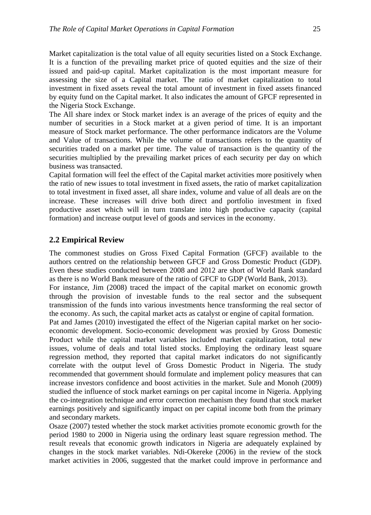Market capitalization is the total value of all equity securities listed on a Stock Exchange. It is a function of the prevailing market price of quoted equities and the size of their issued and paid-up capital. Market capitalization is the most important measure for assessing the size of a Capital market. The ratio of market capitalization to total investment in fixed assets reveal the total amount of investment in fixed assets financed by equity fund on the Capital market. It also indicates the amount of GFCF represented in the Nigeria Stock Exchange.

The All share index or Stock market index is an average of the prices of equity and the number of securities in a Stock market at a given period of time. It is an important measure of Stock market performance. The other performance indicators are the Volume and Value of transactions. While the volume of transactions refers to the quantity of securities traded on a market per time. The value of transaction is the quantity of the securities multiplied by the prevailing market prices of each security per day on which business was transacted.

Capital formation will feel the effect of the Capital market activities more positively when the ratio of new issues to total investment in fixed assets, the ratio of market capitalization to total investment in fixed asset, all share index, volume and value of all deals are on the increase. These increases will drive both direct and portfolio investment in fixed productive asset which will in turn translate into high productive capacity (capital formation) and increase output level of goods and services in the economy.

# **2.2 Empirical Review**

The commonest studies on Gross Fixed Capital Formation (GFCF) available to the authors centred on the relationship between GFCF and Gross Domestic Product (GDP). Even these studies conducted between 2008 and 2012 are short of World Bank standard as there is no World Bank measure of the ratio of GFCF to GDP (World Bank, 2013).

For instance, Jim (2008) traced the impact of the capital market on economic growth through the provision of investable funds to the real sector and the subsequent transmission of the funds into various investments hence transforming the real sector of the economy. As such, the capital market acts as catalyst or engine of capital formation.

Pat and James (2010) investigated the effect of the Nigerian capital market on her socioeconomic development. Socio-economic development was proxied by Gross Domestic Product while the capital market variables included market capitalization, total new issues, volume of deals and total listed stocks. Employing the ordinary least square regression method, they reported that capital market indicators do not significantly correlate with the output level of Gross Domestic Product in Nigeria. The study recommended that government should formulate and implement policy measures that can increase investors confidence and boost activities in the market. Sule and Monoh (2009) studied the influence of stock market earnings on per capital income in Nigeria. Applying the co-integration technique and error correction mechanism they found that stock market earnings positively and significantly impact on per capital income both from the primary and secondary markets.

Osaze (2007) tested whether the stock market activities promote economic growth for the period 1980 to 2000 in Nigeria using the ordinary least square regression method. The result reveals that economic growth indicators in Nigeria are adequately explained by changes in the stock market variables. Ndi-Okereke (2006) in the review of the stock market activities in 2006, suggested that the market could improve in performance and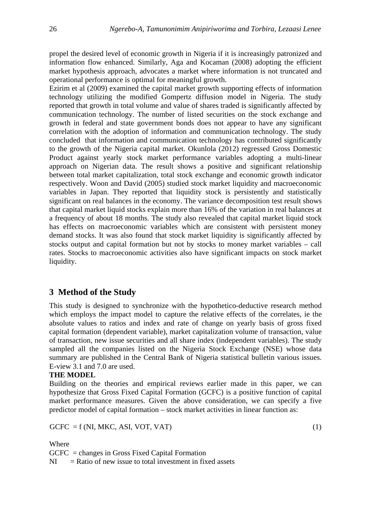propel the desired level of economic growth in Nigeria if it is increasingly patronized and information flow enhanced. Similarly, Aga and Kocaman (2008) adopting the efficient market hypothesis approach, advocates a market where information is not truncated and operational performance is optimal for meaningful growth.

Ezirim et al (2009) examined the capital market growth supporting effects of information technology utilizing the modified Gompertz diffusion model in Nigeria. The study reported that growth in total volume and value of shares traded is significantly affected by communication technology. The number of listed securities on the stock exchange and growth in federal and state government bonds does not appear to have any significant correlation with the adoption of information and communication technology. The study concluded that information and communication technology has contributed significantly to the growth of the Nigeria capital market. Okunlola (2012) regressed Gross Domestic Product against yearly stock market performance variables adopting a multi-linear approach on Nigerian data. The result shows a positive and significant relationship between total market capitalization, total stock exchange and economic growth indicator respectively. Woon and David (2005) studied stock market liquidity and macroeconomic variables in Japan. They reported that liquidity stock is persistently and statistically significant on real balances in the economy. The variance decomposition test result shows that capital market liquid stocks explain more than 16% of the variation in real balances at a frequency of about 18 months. The study also revealed that capital market liquid stock has effects on macroeconomic variables which are consistent with persistent money demand stocks. It was also found that stock market liquidity is significantly affected by stocks output and capital formation but not by stocks to money market variables – call rates. Stocks to macroeconomic activities also have significant impacts on stock market liquidity.

# **3 Method of the Study**

This study is designed to synchronize with the hypothetico-deductive research method which employs the impact model to capture the relative effects of the correlates, ie the absolute values to ratios and index and rate of change on yearly basis of gross fixed capital formation (dependent variable), market capitalization volume of transaction, value of transaction, new issue securities and all share index (independent variables). The study sampled all the companies listed on the Nigeria Stock Exchange (NSE) whose data summary are published in the Central Bank of Nigeria statistical bulletin various issues. E-view 3.1 and 7.0 are used.

#### **THE MODEL**

Building on the theories and empirical reviews earlier made in this paper, we can hypothesize that Gross Fixed Capital Formation (GCFC) is a positive function of capital market performance measures. Given the above consideration, we can specify a five predictor model of capital formation – stock market activities in linear function as:

 $GCFC = f (NI, MKC, ASI, VOT, VAT)$  (1)

Where

GCFC = changes in Gross Fixed Capital Formation

 $NI = Ratio of new issue to total investment in fixed assets$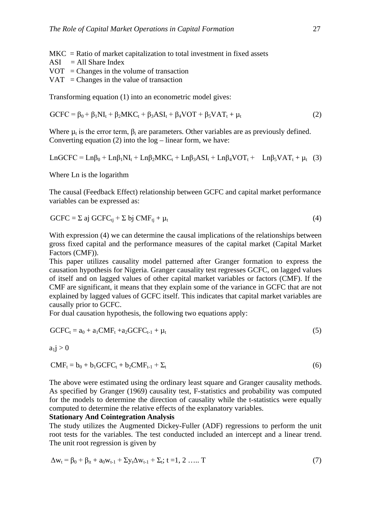- $MKC = Ratio of market capitalization to total investment in fixed assets$
- $ASI = All Share Index$
- $VOT = Changes$  in the volume of transaction
- $VAT = Changes$  in the value of transaction

Transforming equation (1) into an econometric model gives:

$$
GCFC = \beta_0 + \beta_1 NI_t + \beta_2 MKC_t + \beta_3 ASI_t + \beta_4 VOT + \beta_5 VAT_t + \mu_t
$$
\n(2)

Where  $\mu_t$  is the error term,  $\beta_t$  are parameters. Other variables are as previously defined. Converting equation  $(2)$  into the  $log -$  linear form, we have:

$$
LnGCFC = Ln\beta_0 + Ln\beta_1 NI_t + Ln\beta_2 MKC_t + Ln\beta_3 ASI_t + Ln\beta_4 VOT_t + Ln\beta_5 VAT_t + \mu_t
$$
 (3)

Where Ln is the logarithm

The causal (Feedback Effect) relationship between GCFC and capital market performance variables can be expressed as:

$$
GCFC = \Sigma \text{ aj } GCFC_{tj} + \Sigma \text{ bj } CMF_{tj} + \mu_t
$$
 (4)

With expression (4) we can determine the causal implications of the relationships between gross fixed capital and the performance measures of the capital market (Capital Market Factors (CMF)).

This paper utilizes causality model patterned after Granger formation to express the causation hypothesis for Nigeria. Granger causality test regresses GCFC, on lagged values of itself and on lagged values of other capital market variables or factors (CMF). If the CMF are significant, it means that they explain some of the variance in GCFC that are not explained by lagged values of GCFC itself. This indicates that capital market variables are causally prior to GCFC.

For dual causation hypothesis, the following two equations apply:

$$
GCFCt = a0 + a1CMFt + a2GCFCt-1 + \mut
$$
\n(5)

$$
a_l j>0
$$

$$
CMFt = b0 + b1 GCFCt + b2 CMFt-1 + \Sigmat
$$
\n(6)

The above were estimated using the ordinary least square and Granger causality methods. As specified by Granger (1969) causality test, F-statistics and probability was computed for the models to determine the direction of causality while the t-statistics were equally computed to determine the relative effects of the explanatory variables.

#### **Stationary And Cointegration Analysis**

The study utilizes the Augmented Dickey-Fuller (ADF) regressions to perform the unit root tests for the variables. The test conducted included an intercept and a linear trend. The unit root regression is given by

$$
\Delta w_t = \beta_0 + \beta_{it} + a_0 w_{t-1} + \Sigma y_t \Delta w_{t-1} + \Sigma_t; t = 1, 2 \dots T
$$
\n(7)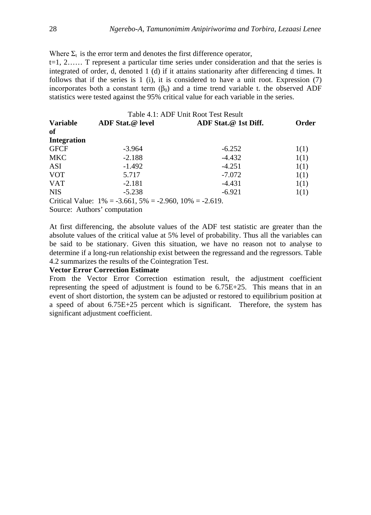Where  $\Sigma_t$  is the error term and denotes the first difference operator, t=1, 2…… T represent a particular time series under consideration and that the series is integrated of order, d, denoted 1 (d) if it attains stationarity after differencing d times. It follows that if the series is 1 (i), it is considered to have a unit root. Expression (7) incorporates both a constant term  $(\beta_0)$  and a time trend variable t. the observed ADF statistics were tested against the 95% critical value for each variable in the series.

| Table 4.1: ADF Unit Root Test Result |                                                               |                      |       |  |  |  |  |  |
|--------------------------------------|---------------------------------------------------------------|----------------------|-------|--|--|--|--|--|
| <b>Variable</b>                      | ADF Stat.@ level                                              | ADF Stat.@ 1st Diff. | Order |  |  |  |  |  |
| of                                   |                                                               |                      |       |  |  |  |  |  |
| <b>Integration</b>                   |                                                               |                      |       |  |  |  |  |  |
| <b>GFCF</b>                          | $-3.964$                                                      | $-6.252$             | 1(1)  |  |  |  |  |  |
| <b>MKC</b>                           | $-2.188$                                                      | $-4.432$             | 1(1)  |  |  |  |  |  |
| ASI                                  | $-1.492$                                                      | $-4.251$             | 1(1)  |  |  |  |  |  |
| <b>VOT</b>                           | 5.717                                                         | $-7.072$             | 1(1)  |  |  |  |  |  |
| <b>VAT</b>                           | $-2.181$                                                      | -4.431               | 1(1)  |  |  |  |  |  |
| <b>NIS</b>                           | $-5.238$                                                      | $-6.921$             | 1(1)  |  |  |  |  |  |
|                                      | Critical Value: $1\% = -3.661, 5\% = -2.960, 10\% = -2.619$ . |                      |       |  |  |  |  |  |
|                                      | Source: Authors' computation                                  |                      |       |  |  |  |  |  |

At first differencing, the absolute values of the ADF test statistic are greater than the absolute values of the critical value at 5% level of probability. Thus all the variables can be said to be stationary. Given this situation, we have no reason not to analyse to determine if a long-run relationship exist between the regressand and the regressors. Table 4.2 summarizes the results of the Cointegration Test.

#### **Vector Error Correction Estimate**

From the Vector Error Correction estimation result, the adjustment coefficient representing the speed of adjustment is found to be 6.75E+25. This means that in an event of short distortion, the system can be adjusted or restored to equilibrium position at a speed of about 6.75E+25 percent which is significant. Therefore, the system has significant adjustment coefficient.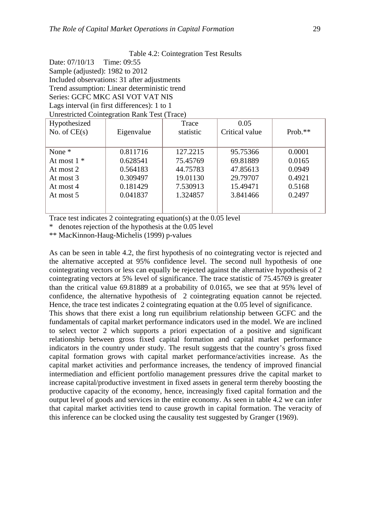Table 4.2: Cointegration Test Results

Date: 07/10/13 Time: 09:55 Sample (adjusted): 1982 to 2012 Included observations: 31 after adjustments Trend assumption: Linear deterministic trend Series: GCFC MKC ASI VOT VAT NIS Lags interval (in first differences): 1 to 1 Unrestricted Cointegration Rank Test (Trace)

| Hypothesized   |            | Trace     | 0.05           |           |  |
|----------------|------------|-----------|----------------|-----------|--|
| No. of $CE(s)$ | Eigenvalue | statistic | Critical value | $Prob.**$ |  |
|                |            |           |                |           |  |
| None $*$       | 0.811716   | 127.2215  | 95.75366       | 0.0001    |  |
| At most $1 *$  | 0.628541   | 75.45769  | 69.81889       | 0.0165    |  |
| At most 2      | 0.564183   | 44.75783  | 47.85613       | 0.0949    |  |
| At most 3      | 0.309497   | 19.01130  | 29.79707       | 0.4921    |  |
| At most 4      | 0.181429   | 7.530913  | 15.49471       | 0.5168    |  |
| At most 5      | 0.041837   | 1.324857  | 3.841466       | 0.2497    |  |
|                |            |           |                |           |  |
|                |            |           |                |           |  |

Trace test indicates 2 cointegrating equation(s) at the 0.05 level

\* denotes rejection of the hypothesis at the 0.05 level

\*\* MacKinnon-Haug-Michelis (1999) p-values

As can be seen in table 4.2, the first hypothesis of no cointegrating vector is rejected and the alternative accepted at 95% confidence level. The second null hypothesis of one cointegrating vectors or less can equally be rejected against the alternative hypothesis of 2 cointegrating vectors at 5% level of significance. The trace statistic of 75.45769 is greater than the critical value 69.81889 at a probability of 0.0165, we see that at 95% level of confidence, the alternative hypothesis of 2 cointegrating equation cannot be rejected. Hence, the trace test indicates 2 cointegrating equation at the 0.05 level of significance. This shows that there exist a long run equilibrium relationship between GCFC and the fundamentals of capital market performance indicators used in the model. We are inclined to select vector 2 which supports a priori expectation of a positive and significant relationship between gross fixed capital formation and capital market performance indicators in the country under study. The result suggests that the country's gross fixed capital formation grows with capital market performance/activities increase. As the capital market activities and performance increases, the tendency of improved financial intermediation and efficient portfolio management pressures drive the capital market to increase capital/productive investment in fixed assets in general term thereby boosting the productive capacity of the economy, hence, increasingly fixed capital formation and the output level of goods and services in the entire economy. As seen in table 4.2 we can infer that capital market activities tend to cause growth in capital formation. The veracity of this inference can be clocked using the causality test suggested by Granger (1969).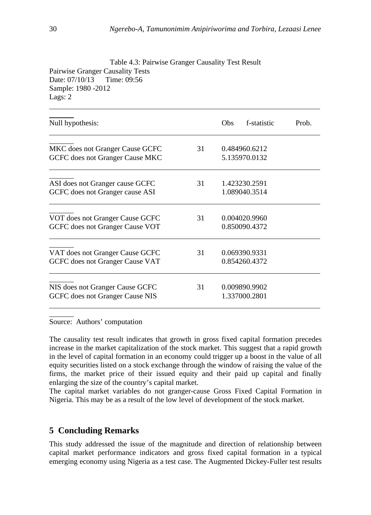| Table 4.5: Pairwise Granger Causality Test Result<br>Pairwise Granger Causality Tests<br>Time: 09:56<br>Date: 07/10/13<br>Sample: 1980 - 2012<br>Lags: 2 |    |            |                                |       |
|----------------------------------------------------------------------------------------------------------------------------------------------------------|----|------------|--------------------------------|-------|
| Null hypothesis:                                                                                                                                         |    | <b>Obs</b> | f-statistic                    | Prob. |
| MKC does not Granger Cause GCFC<br>GCFC does not Granger Cause MKC                                                                                       | 31 |            | 0.484960.6212<br>5.135970.0132 |       |
| ASI does not Granger cause GCFC<br>GCFC does not Granger cause ASI                                                                                       | 31 |            | 1.423230.2591<br>1.089040.3514 |       |
| VOT does not Granger Cause GCFC<br>GCFC does not Granger Cause VOT                                                                                       | 31 |            | 0.004020.9960<br>0.850090.4372 |       |
| VAT does not Granger Cause GCFC<br>GCFC does not Granger Cause VAT                                                                                       | 31 |            | 0.069390.9331<br>0.854260.4372 |       |
| NIS does not Granger Cause GCFC<br>GCFC does not Granger Cause NIS                                                                                       | 31 |            | 0.009890.9902<br>1.337000.2801 |       |

 $T_{\rm eff}$   $T_{\rm eff}$   $T_{\rm eff}$   $T_{\rm eff}$   $T_{\rm eff}$   $T_{\rm eff}$   $T_{\rm eff}$   $T_{\rm eff}$   $T_{\rm eff}$   $T_{\rm eff}$   $T_{\rm eff}$   $T_{\rm eff}$   $T_{\rm eff}$   $T_{\rm eff}$   $T_{\rm eff}$   $T_{\rm eff}$   $T_{\rm eff}$   $T_{\rm eff}$   $T_{\rm eff}$   $T_{\rm eff}$   $T_{\rm eff}$   $T_{\rm eff}$   $T_{\rm eff}$   $T_{\rm eff}$   $T_{\rm$ 

Source: Authors' computation

The causality test result indicates that growth in gross fixed capital formation precedes increase in the market capitalization of the stock market. This suggest that a rapid growth in the level of capital formation in an economy could trigger up a boost in the value of all equity securities listed on a stock exchange through the window of raising the value of the firms, the market price of their issued equity and their paid up capital and finally enlarging the size of the country's capital market.

The capital market variables do not granger-cause Gross Fixed Capital Formation in Nigeria. This may be as a result of the low level of development of the stock market.

# **5 Concluding Remarks**

This study addressed the issue of the magnitude and direction of relationship between capital market performance indicators and gross fixed capital formation in a typical emerging economy using Nigeria as a test case. The Augmented Dickey-Fuller test results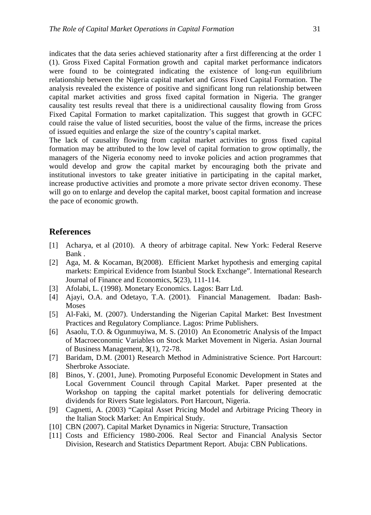indicates that the data series achieved stationarity after a first differencing at the order 1 (1). Gross Fixed Capital Formation growth and capital market performance indicators were found to be cointegrated indicating the existence of long-run equilibrium relationship between the Nigeria capital market and Gross Fixed Capital Formation. The analysis revealed the existence of positive and significant long run relationship between capital market activities and gross fixed capital formation in Nigeria. The granger causality test results reveal that there is a unidirectional causality flowing from Gross Fixed Capital Formation to market capitalization. This suggest that growth in GCFC could raise the value of listed securities, boost the value of the firms, increase the prices of issued equities and enlarge the size of the country's capital market.

The lack of causality flowing from capital market activities to gross fixed capital formation may be attributed to the low level of capital formation to grow optimally, the managers of the Nigeria economy need to invoke policies and action programmes that would develop and grow the capital market by encouraging both the private and institutional investors to take greater initiative in participating in the capital market, increase productive activities and promote a more private sector driven economy. These will go on to enlarge and develop the capital market, boost capital formation and increase the pace of economic growth.

### **References**

- [1] Acharya, et al (2010). A theory of arbitrage capital. New York: Federal Reserve Bank .
- [2] Aga, M. & Kocaman, B(2008). Efficient Market hypothesis and emerging capital markets: Empirical Evidence from Istanbul Stock Exchange". International Research Journal of Finance and Economics, **5**(23), 111-114.
- [3] Afolabi, L. (1998). Monetary Economics. Lagos: Barr Ltd.
- [4] Ajayi, O.A. and Odetayo, T.A. (2001). Financial Management. Ibadan: Bash-Moses
- [5] Al-Faki, M. (2007). Understanding the Nigerian Capital Market: Best Investment Practices and Regulatory Compliance. Lagos: Prime Publishers.
- [6] Asaolu, T.O. & Ogunmuyiwa, M. S. (2010) An Econometric Analysis of the Impact of Macroeconomic Variables on Stock Market Movement in Nigeria. Asian Journal of Business Management, **3**(1), 72-78.
- [7] Baridam, D.M. (2001) Research Method in Administrative Science. Port Harcourt: Sherbroke Associate.
- [8] Binos, Y. (2001, June). Promoting Purposeful Economic Development in States and Local Government Council through Capital Market. Paper presented at the Workshop on tapping the capital market potentials for delivering democratic dividends for Rivers State legislators. Port Harcourt, Nigeria.
- [9] Cagnetti, A. (2003) "Capital Asset Pricing Model and Arbitrage Pricing Theory in the Italian Stock Market: An Empirical Study.
- [10] CBN (2007). Capital Market Dynamics in Nigeria: Structure, Transaction
- [11] Costs and Efficiency 1980-2006. Real Sector and Financial Analysis Sector Division, Research and Statistics Department Report. Abuja: CBN Publications.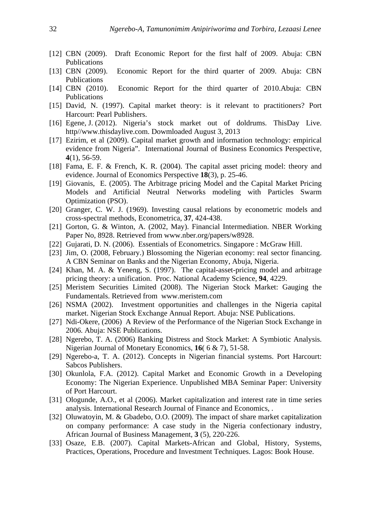- [12] CBN (2009). Draft Economic Report for the first half of 2009. Abuja: CBN Publications
- [13] CBN (2009). Economic Report for the third quarter of 2009. Abuja: CBN Publications
- [14] CBN (2010). Economic Report for the third quarter of 2010.Abuja: CBN Publications
- [15] David, N. (1997). Capital market theory: is it relevant to practitioners? Port Harcourt: Pearl Publishers.
- [16] Egene, J. (2012). Nigeria's stock market out of doldrums. ThisDay Live. http//www.thisdaylive.com. Dowmloaded August 3, 2013
- [17] Ezirim, et al (2009). Capital market growth and information technology: empirical evidence from Nigeria". International Journal of Business Economics Perspective, **4**(1), 56-59.
- [18] Fama, E. F. & French, K. R. (2004). The capital asset pricing model: theory and evidence. Journal of Economics Perspective **18**(3), p. 25-46.
- [19] Giovanis, E. (2005). The Arbitrage pricing Model and the Capital Market Pricing Models and Artificial Neutral Networks modeling with Particles Swarm Optimization (PSO).
- [20] Granger, C. W. J. (1969). Investing causal relations by econometric models and cross-spectral methods, Econometrica, **37**, 424-438.
- [21] Gorton, G. & Winton, A. (2002, May). Financial Intermediation. NBER Working Paper No, 8928. Retrieved from www.nber.org/papers/w8928.
- [22] Gujarati, D. N. (2006). Essentials of Econometrics. Singapore : McGraw Hill.
- [23] Jim, O. (2008, February.) Blossoming the Nigerian economy: real sector financing. A CBN Seminar on Banks and the Nigerian Economy, Abuja, Nigeria.
- [24] Khan, M. A. & Yeneng, S. (1997). The capital-asset-pricing model and arbitrage pricing theory: a unification. Proc. National Academy Science, **94**, 4229.
- [25] Meristem Securities Limited (2008). The Nigerian Stock Market: Gauging the Fundamentals. Retrieved from www.meristem.com
- [26] NSMA (2002). Investment opportunities and challenges in the Nigeria capital market. Nigerian Stock Exchange Annual Report. Abuja: NSE Publications.
- [27] Ndi-Okere, (2006) A Review of the Performance of the Nigerian Stock Exchange in 2006. Abuja: NSE Publications.
- [28] Ngerebo, T. A. (2006) Banking Distress and Stock Market: A Symbiotic Analysis. Nigerian Journal of Monetary Economics, **16**( 6 & 7), 51-58.
- [29] Ngerebo-a, T. A. (2012). Concepts in Nigerian financial systems. Port Harcourt: Sabcos Publishers.
- [30] Okunlola, F.A. (2012). Capital Market and Economic Growth in a Developing Economy: The Nigerian Experience. Unpublished MBA Seminar Paper: University of Port Harcourt.
- [31] Ologunde, A.O., et al (2006). Market capitalization and interest rate in time series analysis. International Research Journal of Finance and Economics, .
- [32] Oluwatoyin, M. & Gbadebo, O.O. (2009). The impact of share market capitalization on company performance: A case study in the Nigeria confectionary industry, African Journal of Business Management, **3** (5), 220-226.
- [33] Osaze, E.B. (2007). Capital Markets-African and Global, History, Systems, Practices, Operations, Procedure and Investment Techniques. Lagos: Book House.